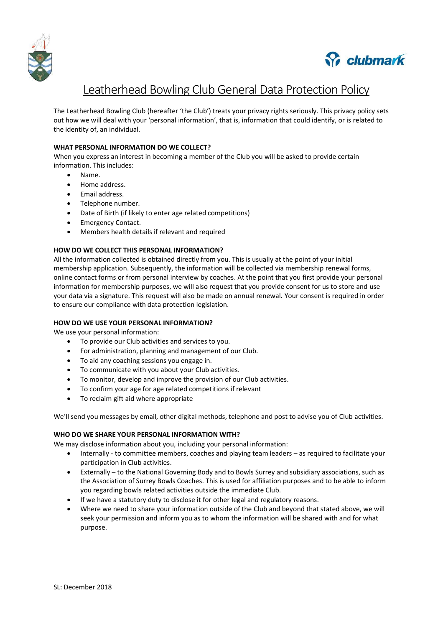



# Leatherhead Bowling Club General Data Protection Policy

The Leatherhead Bowling Club (hereafter 'the Club') treats your privacy rights seriously. This privacy policy sets out how we will deal with your 'personal information', that is, information that could identify, or is related to the identity of, an individual.

## **WHAT PERSONAL INFORMATION DO WE COLLECT?**

When you express an interest in becoming a member of the Club you will be asked to provide certain information. This includes:

- Name.
- Home address.
- Email address.
- Telephone number.
- Date of Birth (if likely to enter age related competitions)
- Emergency Contact.
- Members health details if relevant and required

### **HOW DO WE COLLECT THIS PERSONAL INFORMATION?**

All the information collected is obtained directly from you. This is usually at the point of your initial membership application. Subsequently, the information will be collected via membership renewal forms, online contact forms or from personal interview by coaches. At the point that you first provide your personal information for membership purposes, we will also request that you provide consent for us to store and use your data via a signature. This request will also be made on annual renewal. Your consent is required in order to ensure our compliance with data protection legislation.

### **HOW DO WE USE YOUR PERSONAL INFORMATION?**

We use your personal information:

- To provide our Club activities and services to you.
- For administration, planning and management of our Club.
- To aid any coaching sessions you engage in.
- To communicate with you about your Club activities.
- To monitor, develop and improve the provision of our Club activities.
- To confirm your age for age related competitions if relevant
- To reclaim gift aid where appropriate

We'll send you messages by email, other digital methods, telephone and post to advise you of Club activities.

### **WHO DO WE SHARE YOUR PERSONAL INFORMATION WITH?**

We may disclose information about you, including your personal information:

- Internally to committee members, coaches and playing team leaders as required to facilitate your participation in Club activities.
- Externally to the National Governing Body and to Bowls Surrey and subsidiary associations, such as the Association of Surrey Bowls Coaches. This is used for affiliation purposes and to be able to inform you regarding bowls related activities outside the immediate Club.
- If we have a statutory duty to disclose it for other legal and regulatory reasons.
- Where we need to share your information outside of the Club and beyond that stated above, we will seek your permission and inform you as to whom the information will be shared with and for what purpose.